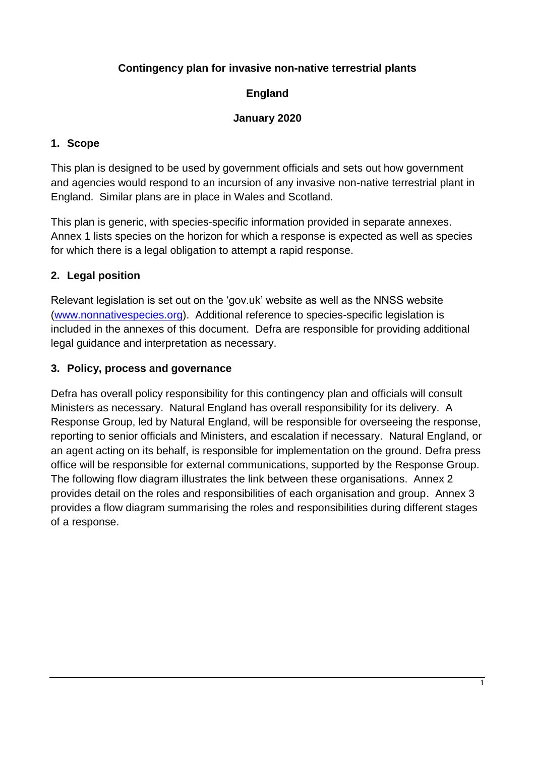## **Contingency plan for invasive non-native terrestrial plants**

## **England**

#### **January 2020**

## **1. Scope**

This plan is designed to be used by government officials and sets out how government and agencies would respond to an incursion of any invasive non-native terrestrial plant in England. Similar plans are in place in Wales and Scotland.

This plan is generic, with species-specific information provided in separate annexes. Annex 1 lists species on the horizon for which a response is expected as well as species for which there is a legal obligation to attempt a rapid response.

## **2. Legal position**

Relevant legislation is set out on the 'gov.uk' website as well as the NNSS website [\(www.nonnativespecies.org\)](http://www.nonnativespecies.org/). Additional reference to species-specific legislation is included in the annexes of this document. Defra are responsible for providing additional legal guidance and interpretation as necessary.

## **3. Policy, process and governance**

Defra has overall policy responsibility for this contingency plan and officials will consult Ministers as necessary. Natural England has overall responsibility for its delivery. A Response Group, led by Natural England, will be responsible for overseeing the response, reporting to senior officials and Ministers, and escalation if necessary. Natural England, or an agent acting on its behalf, is responsible for implementation on the ground. Defra press office will be responsible for external communications, supported by the Response Group. The following flow diagram illustrates the link between these organisations. Annex 2 provides detail on the roles and responsibilities of each organisation and group. Annex 3 provides a flow diagram summarising the roles and responsibilities during different stages of a response.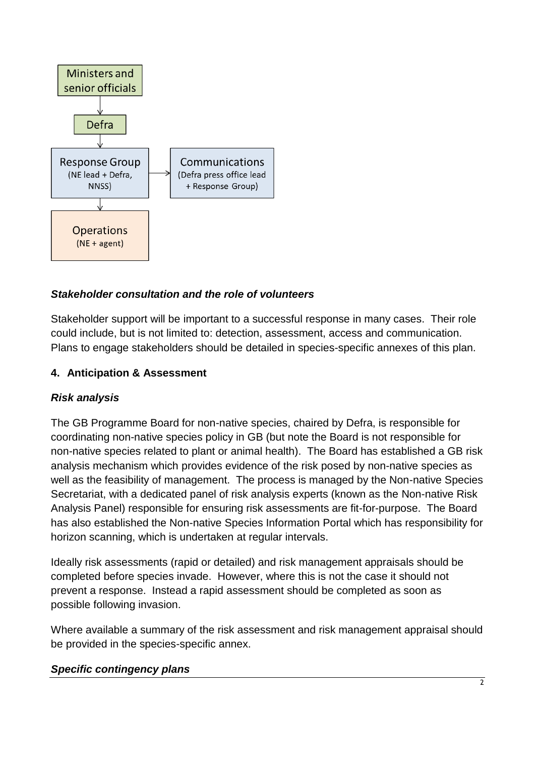

## *Stakeholder consultation and the role of volunteers*

Stakeholder support will be important to a successful response in many cases. Their role could include, but is not limited to: detection, assessment, access and communication. Plans to engage stakeholders should be detailed in species-specific annexes of this plan.

#### **4. Anticipation & Assessment**

#### *Risk analysis*

The GB Programme Board for non-native species, chaired by Defra, is responsible for coordinating non-native species policy in GB (but note the Board is not responsible for non-native species related to plant or animal health). The Board has established a GB risk analysis mechanism which provides evidence of the risk posed by non-native species as well as the feasibility of management. The process is managed by the Non-native Species Secretariat, with a dedicated panel of risk analysis experts (known as the Non-native Risk Analysis Panel) responsible for ensuring risk assessments are fit-for-purpose. The Board has also established the Non-native Species Information Portal which has responsibility for horizon scanning, which is undertaken at regular intervals.

Ideally risk assessments (rapid or detailed) and risk management appraisals should be completed before species invade. However, where this is not the case it should not prevent a response. Instead a rapid assessment should be completed as soon as possible following invasion.

Where available a summary of the risk assessment and risk management appraisal should be provided in the species-specific annex.

#### *Specific contingency plans*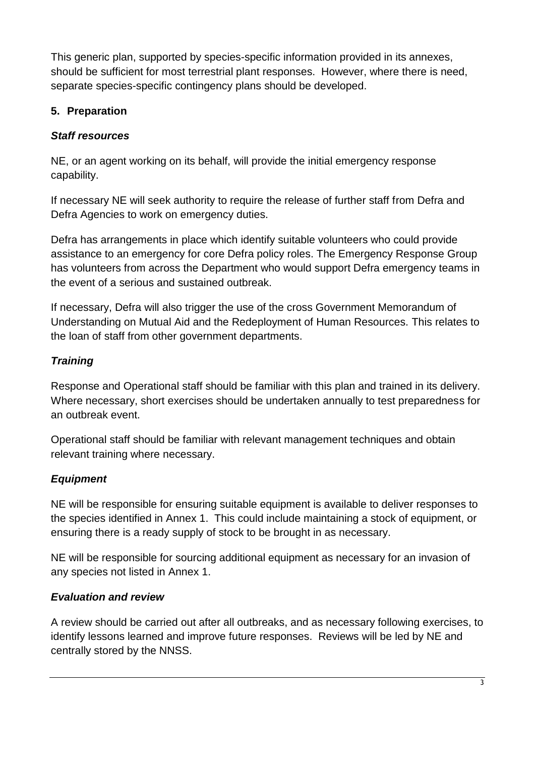This generic plan, supported by species-specific information provided in its annexes, should be sufficient for most terrestrial plant responses. However, where there is need, separate species-specific contingency plans should be developed.

## **5. Preparation**

# *Staff resources*

NE, or an agent working on its behalf, will provide the initial emergency response capability.

If necessary NE will seek authority to require the release of further staff from Defra and Defra Agencies to work on emergency duties.

Defra has arrangements in place which identify suitable volunteers who could provide assistance to an emergency for core Defra policy roles. The Emergency Response Group has volunteers from across the Department who would support Defra emergency teams in the event of a serious and sustained outbreak.

If necessary, Defra will also trigger the use of the cross Government Memorandum of Understanding on Mutual Aid and the Redeployment of Human Resources. This relates to the loan of staff from other government departments.

# *Training*

Response and Operational staff should be familiar with this plan and trained in its delivery. Where necessary, short exercises should be undertaken annually to test preparedness for an outbreak event.

Operational staff should be familiar with relevant management techniques and obtain relevant training where necessary.

# *Equipment*

NE will be responsible for ensuring suitable equipment is available to deliver responses to the species identified in Annex 1. This could include maintaining a stock of equipment, or ensuring there is a ready supply of stock to be brought in as necessary.

NE will be responsible for sourcing additional equipment as necessary for an invasion of any species not listed in Annex 1.

# *Evaluation and review*

A review should be carried out after all outbreaks, and as necessary following exercises, to identify lessons learned and improve future responses. Reviews will be led by NE and centrally stored by the NNSS.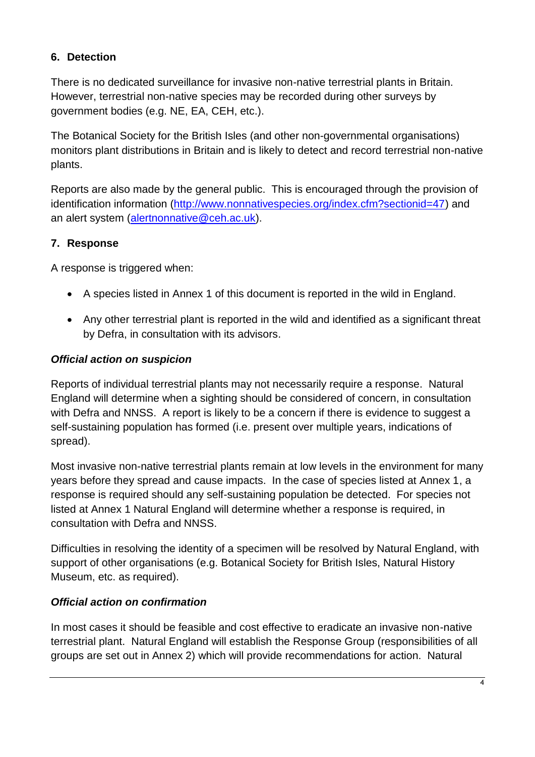# **6. Detection**

There is no dedicated surveillance for invasive non-native terrestrial plants in Britain. However, terrestrial non-native species may be recorded during other surveys by government bodies (e.g. NE, EA, CEH, etc.).

The Botanical Society for the British Isles (and other non-governmental organisations) monitors plant distributions in Britain and is likely to detect and record terrestrial non-native plants.

Reports are also made by the general public. This is encouraged through the provision of identification information [\(http://www.nonnativespecies.org/index.cfm?sectionid=47\)](http://www.nonnativespecies.org/index.cfm?sectionid=47) and an alert system [\(alertnonnative@ceh.ac.uk\)](mailto:alertnonnative@ceh.ac.uk).

# **7. Response**

A response is triggered when:

- A species listed in Annex 1 of this document is reported in the wild in England.
- Any other terrestrial plant is reported in the wild and identified as a significant threat by Defra, in consultation with its advisors.

# *Official action on suspicion*

Reports of individual terrestrial plants may not necessarily require a response. Natural England will determine when a sighting should be considered of concern, in consultation with Defra and NNSS. A report is likely to be a concern if there is evidence to suggest a self-sustaining population has formed (i.e. present over multiple years, indications of spread).

Most invasive non-native terrestrial plants remain at low levels in the environment for many years before they spread and cause impacts. In the case of species listed at Annex 1, a response is required should any self-sustaining population be detected. For species not listed at Annex 1 Natural England will determine whether a response is required, in consultation with Defra and NNSS.

Difficulties in resolving the identity of a specimen will be resolved by Natural England, with support of other organisations (e.g. Botanical Society for British Isles, Natural History Museum, etc. as required).

# *Official action on confirmation*

In most cases it should be feasible and cost effective to eradicate an invasive non-native terrestrial plant. Natural England will establish the Response Group (responsibilities of all groups are set out in Annex 2) which will provide recommendations for action. Natural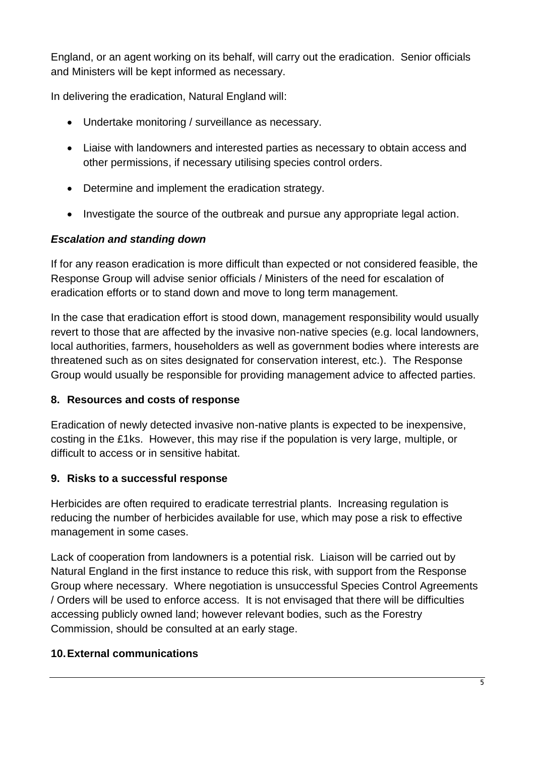England, or an agent working on its behalf, will carry out the eradication. Senior officials and Ministers will be kept informed as necessary.

In delivering the eradication, Natural England will:

- Undertake monitoring / surveillance as necessary.
- Liaise with landowners and interested parties as necessary to obtain access and other permissions, if necessary utilising species control orders.
- Determine and implement the eradication strategy.
- Investigate the source of the outbreak and pursue any appropriate legal action.

#### *Escalation and standing down*

If for any reason eradication is more difficult than expected or not considered feasible, the Response Group will advise senior officials / Ministers of the need for escalation of eradication efforts or to stand down and move to long term management.

In the case that eradication effort is stood down, management responsibility would usually revert to those that are affected by the invasive non-native species (e.g. local landowners, local authorities, farmers, householders as well as government bodies where interests are threatened such as on sites designated for conservation interest, etc.). The Response Group would usually be responsible for providing management advice to affected parties.

#### **8. Resources and costs of response**

Eradication of newly detected invasive non-native plants is expected to be inexpensive, costing in the £1ks. However, this may rise if the population is very large, multiple, or difficult to access or in sensitive habitat.

#### **9. Risks to a successful response**

Herbicides are often required to eradicate terrestrial plants. Increasing regulation is reducing the number of herbicides available for use, which may pose a risk to effective management in some cases.

Lack of cooperation from landowners is a potential risk. Liaison will be carried out by Natural England in the first instance to reduce this risk, with support from the Response Group where necessary. Where negotiation is unsuccessful Species Control Agreements / Orders will be used to enforce access. It is not envisaged that there will be difficulties accessing publicly owned land; however relevant bodies, such as the Forestry Commission, should be consulted at an early stage.

#### **10.External communications**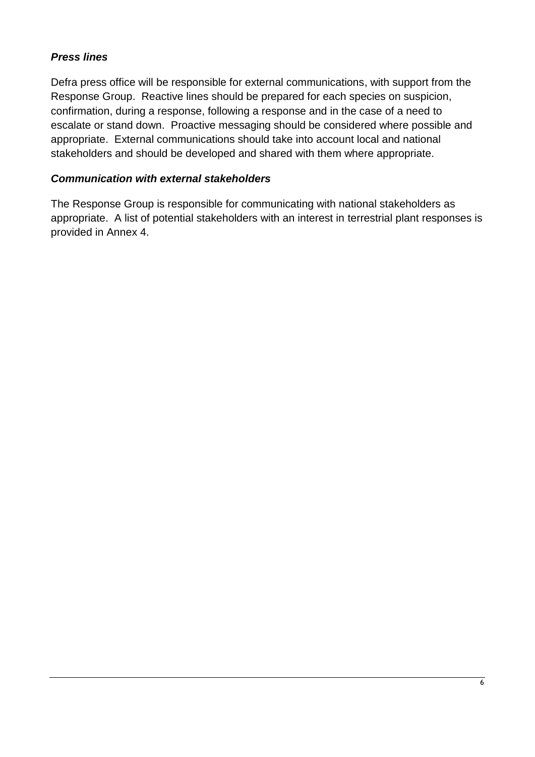## *Press lines*

Defra press office will be responsible for external communications, with support from the Response Group. Reactive lines should be prepared for each species on suspicion, confirmation, during a response, following a response and in the case of a need to escalate or stand down. Proactive messaging should be considered where possible and appropriate. External communications should take into account local and national stakeholders and should be developed and shared with them where appropriate.

#### *Communication with external stakeholders*

The Response Group is responsible for communicating with national stakeholders as appropriate. A list of potential stakeholders with an interest in terrestrial plant responses is provided in Annex 4.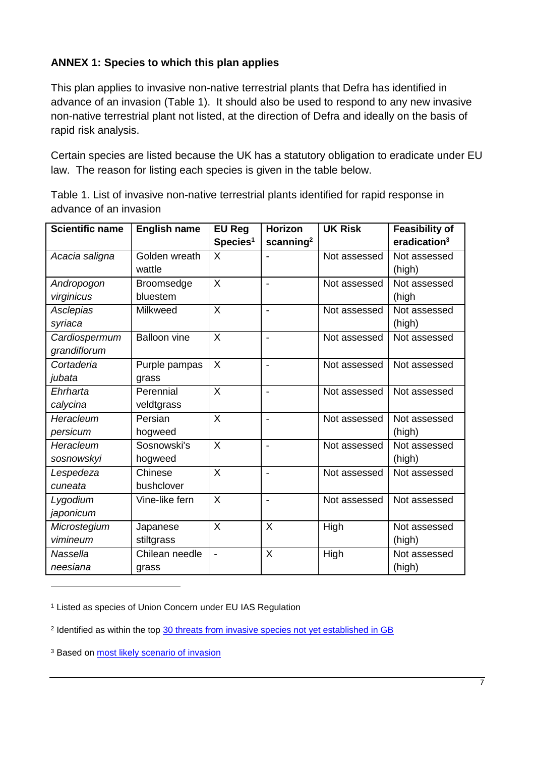## **ANNEX 1: Species to which this plan applies**

This plan applies to invasive non-native terrestrial plants that Defra has identified in advance of an invasion (Table 1). It should also be used to respond to any new invasive non-native terrestrial plant not listed, at the direction of Defra and ideally on the basis of rapid risk analysis.

Certain species are listed because the UK has a statutory obligation to eradicate under EU law. The reason for listing each species is given in the table below.

| <b>Scientific name</b> | <b>English name</b> | <b>EU Reg</b>            | Horizon               | <b>UK Risk</b> | <b>Feasibility of</b> |
|------------------------|---------------------|--------------------------|-----------------------|----------------|-----------------------|
|                        |                     | Species <sup>1</sup>     | scanning <sup>2</sup> |                | eradication $3$       |
| Acacia saligna         | Golden wreath       | X                        |                       | Not assessed   | Not assessed          |
|                        | wattle              |                          |                       |                | (high)                |
| Andropogon             | Broomsedge          | $\sf X$                  | $\blacksquare$        | Not assessed   | Not assessed          |
| virginicus             | bluestem            |                          |                       |                | (high                 |
| Asclepias              | Milkweed            | X                        | $\blacksquare$        | Not assessed   | Not assessed          |
| syriaca                |                     |                          |                       |                | (high)                |
| Cardiospermum          | <b>Balloon vine</b> | X                        | $\blacksquare$        | Not assessed   | Not assessed          |
| grandiflorum           |                     |                          |                       |                |                       |
| Cortaderia             | Purple pampas       | $\times$                 | $\overline{a}$        | Not assessed   | Not assessed          |
| jubata                 | grass               |                          |                       |                |                       |
| Ehrharta               | Perennial           | X                        | $\blacksquare$        | Not assessed   | Not assessed          |
| calycina               | veldtgrass          |                          |                       |                |                       |
| Heracleum              | Persian             | X                        | $\blacksquare$        | Not assessed   | Not assessed          |
| persicum               | hogweed             |                          |                       |                | (high)                |
| Heracleum              | Sosnowski's         | X                        | $\blacksquare$        | Not assessed   | Not assessed          |
| sosnowskyi             | hogweed             |                          |                       |                | (high)                |
| Lespedeza              | Chinese             | $\sf X$                  | $\blacksquare$        | Not assessed   | Not assessed          |
| cuneata                | bushclover          |                          |                       |                |                       |
| Lygodium               | Vine-like fern      | $\sf X$                  | $\blacksquare$        | Not assessed   | Not assessed          |
| japonicum              |                     |                          |                       |                |                       |
| Microstegium           | Japanese            | X                        | $\sf X$               | High           | Not assessed          |
| vimineum               | stiltgrass          |                          |                       |                | (high)                |
| Nassella               | Chilean needle      | $\overline{\phantom{a}}$ | X                     | High           | Not assessed          |
| neesiana               | grass               |                          |                       |                | (high)                |

Table 1. List of invasive non-native terrestrial plants identified for rapid response in advance of an invasion

<sup>1</sup> Listed as species of Union Concern under EU IAS Regulation

<sup>2</sup> Identified as within the top [30 threats from invasive species not yet established in GB](http://onlinelibrary.wiley.com/doi/10.1111/gcb.12603/abstract)

<sup>3</sup> Based on [most likely scenario of invasion](https://link.springer.com/article/10.1007%2Fs10530-017-1451-z)

1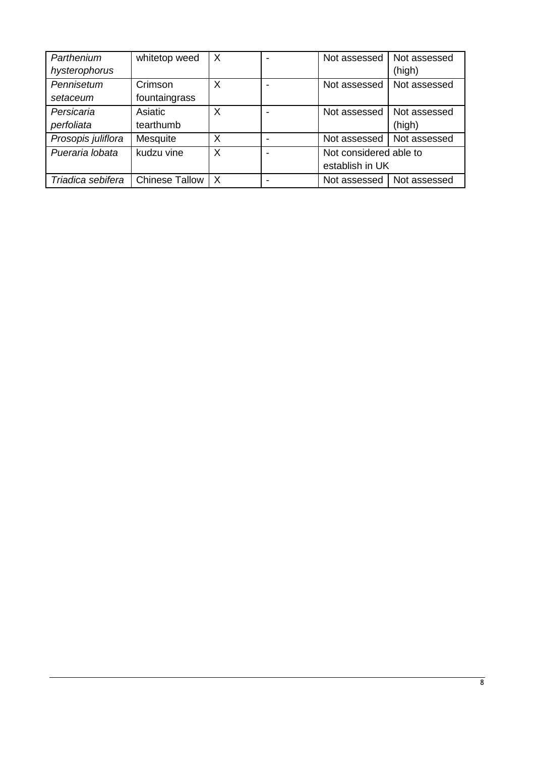| Parthenium<br>hysterophorus | whitetop weed            | $\times$ | Not assessed                              | Not assessed<br>(high) |
|-----------------------------|--------------------------|----------|-------------------------------------------|------------------------|
| Pennisetum<br>setaceum      | Crimson<br>fountaingrass | X        | Not assessed                              | Not assessed           |
| Persicaria<br>perfoliata    | Asiatic<br>tearthumb     | х        | Not assessed I                            | Not assessed<br>(high) |
| Prosopis juliflora          | Mesquite                 | Χ        | Not assessed                              | Not assessed           |
| Pueraria lobata             | kudzu vine               | X        | Not considered able to<br>establish in UK |                        |
| Triadica sebifera           | <b>Chinese Tallow</b>    | X        | Not assessed                              | Not assessed           |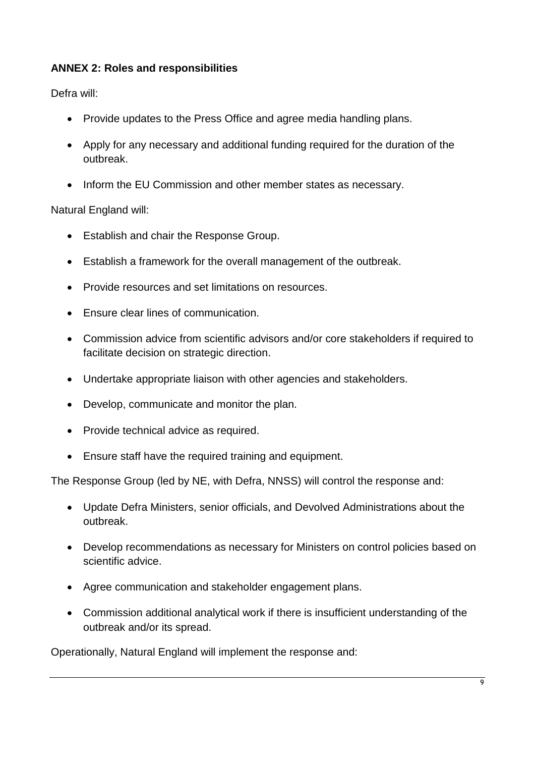## **ANNEX 2: Roles and responsibilities**

Defra will:

- Provide updates to the Press Office and agree media handling plans.
- Apply for any necessary and additional funding required for the duration of the outbreak.
- Inform the EU Commission and other member states as necessary.

Natural England will:

- Establish and chair the Response Group.
- Establish a framework for the overall management of the outbreak.
- Provide resources and set limitations on resources.
- Ensure clear lines of communication.
- Commission advice from scientific advisors and/or core stakeholders if required to facilitate decision on strategic direction.
- Undertake appropriate liaison with other agencies and stakeholders.
- Develop, communicate and monitor the plan.
- Provide technical advice as required.
- Ensure staff have the required training and equipment.

The Response Group (led by NE, with Defra, NNSS) will control the response and:

- Update Defra Ministers, senior officials, and Devolved Administrations about the outbreak.
- Develop recommendations as necessary for Ministers on control policies based on scientific advice.
- Agree communication and stakeholder engagement plans.
- Commission additional analytical work if there is insufficient understanding of the outbreak and/or its spread.

Operationally, Natural England will implement the response and: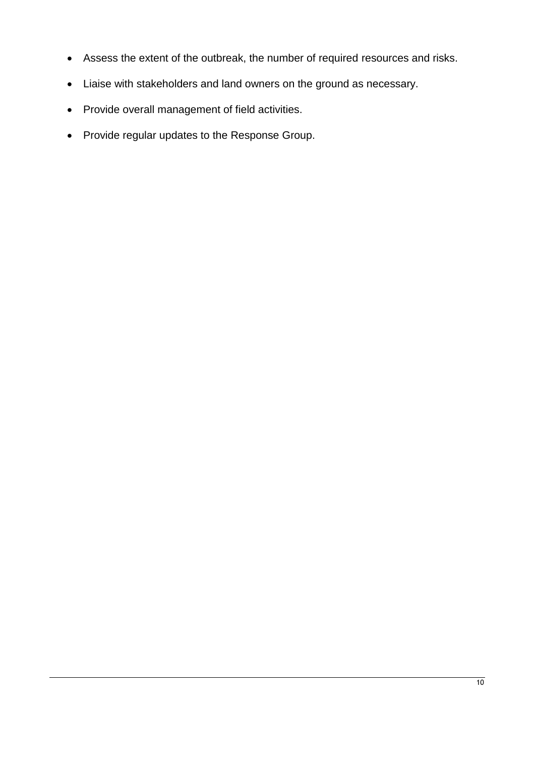- Assess the extent of the outbreak, the number of required resources and risks.
- Liaise with stakeholders and land owners on the ground as necessary.
- Provide overall management of field activities.
- Provide regular updates to the Response Group.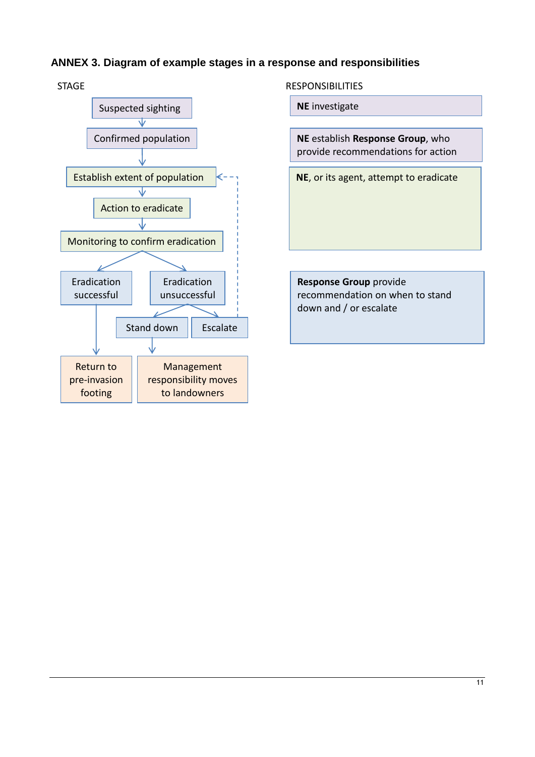## **ANNEX 3. Diagram of example stages in a response and responsibilities**



**NE** investigate

**NE** establish **Response Group**, who provide recommendations for action

**NE**, or its agent, attempt to eradicate

**Response Group** provide recommendation on when to stand down and / or escalate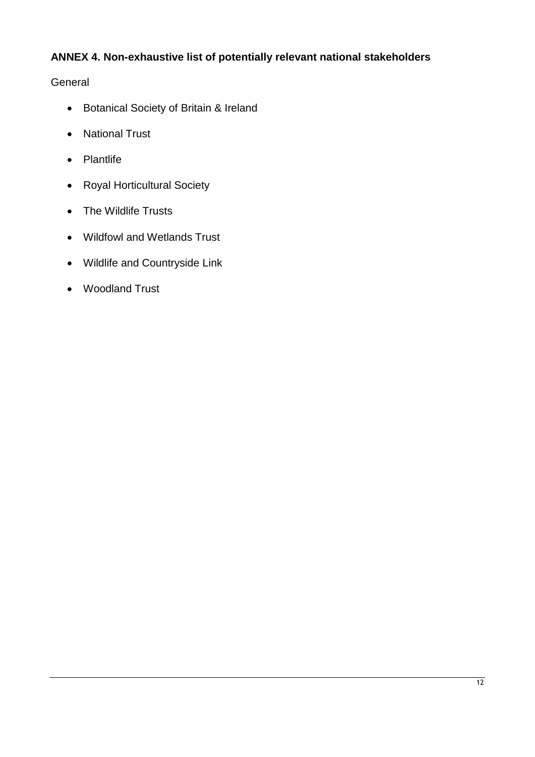# **ANNEX 4. Non-exhaustive list of potentially relevant national stakeholders**

#### **General**

- Botanical Society of Britain & Ireland
- National Trust
- Plantlife
- Royal Horticultural Society
- The Wildlife Trusts
- Wildfowl and Wetlands Trust
- Wildlife and Countryside Link
- Woodland Trust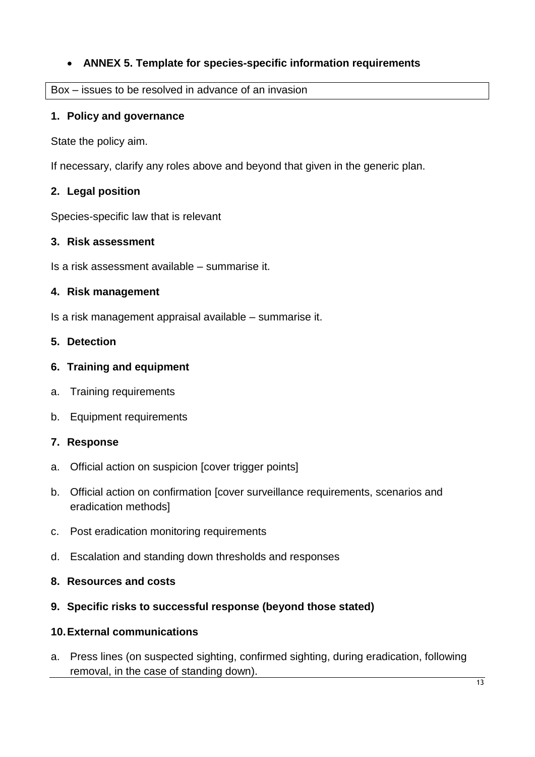## **ANNEX 5. Template for species-specific information requirements**

#### Box – issues to be resolved in advance of an invasion

#### **1. Policy and governance**

State the policy aim.

If necessary, clarify any roles above and beyond that given in the generic plan.

#### **2. Legal position**

Species-specific law that is relevant

#### **3. Risk assessment**

Is a risk assessment available – summarise it.

#### **4. Risk management**

Is a risk management appraisal available – summarise it.

#### **5. Detection**

#### **6. Training and equipment**

- a. Training requirements
- b. Equipment requirements

#### **7. Response**

- a. Official action on suspicion [cover trigger points]
- b. Official action on confirmation [cover surveillance requirements, scenarios and eradication methods]
- c. Post eradication monitoring requirements
- d. Escalation and standing down thresholds and responses

#### **8. Resources and costs**

#### **9. Specific risks to successful response (beyond those stated)**

#### **10.External communications**

a. Press lines (on suspected sighting, confirmed sighting, during eradication, following removal, in the case of standing down).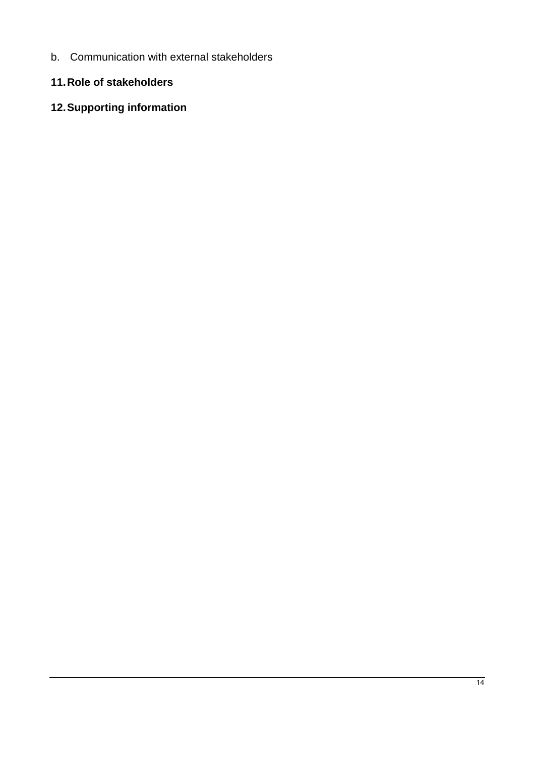b. Communication with external stakeholders

## **11.Role of stakeholders**

# **12.Supporting information**